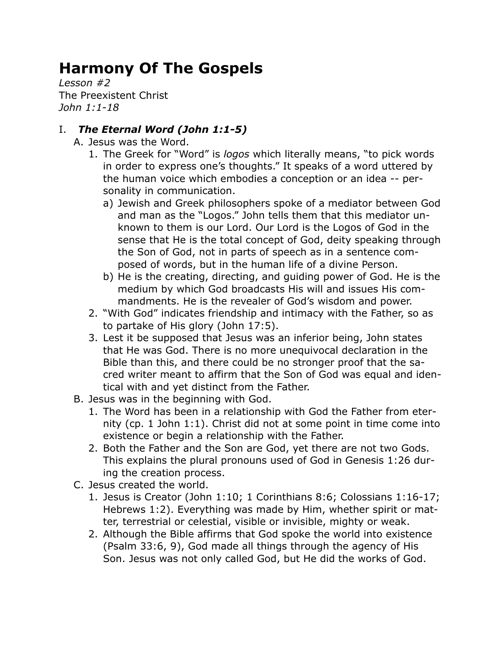# **Harmony Of The Gospels**

*Lesson #2* The Preexistent Christ *John 1:1-18*

## I. *The Eternal Word (John 1:1-5)*

- A. Jesus was the Word.
	- 1. The Greek for "Word" is *logos* which literally means, "to pick words in order to express one's thoughts." It speaks of a word uttered by the human voice which embodies a conception or an idea -- personality in communication.
		- a) Jewish and Greek philosophers spoke of a mediator between God and man as the "Logos." John tells them that this mediator unknown to them is our Lord. Our Lord is the Logos of God in the sense that He is the total concept of God, deity speaking through the Son of God, not in parts of speech as in a sentence composed of words, but in the human life of a divine Person.
		- b) He is the creating, directing, and guiding power of God. He is the medium by which God broadcasts His will and issues His commandments. He is the revealer of God's wisdom and power.
	- 2. "With God" indicates friendship and intimacy with the Father, so as to partake of His glory (John 17:5).
	- 3. Lest it be supposed that Jesus was an inferior being, John states that He was God. There is no more unequivocal declaration in the Bible than this, and there could be no stronger proof that the sacred writer meant to affirm that the Son of God was equal and identical with and yet distinct from the Father.
- B. Jesus was in the beginning with God.
	- 1. The Word has been in a relationship with God the Father from eternity (cp. 1 John 1:1). Christ did not at some point in time come into existence or begin a relationship with the Father.
	- 2. Both the Father and the Son are God, yet there are not two Gods. This explains the plural pronouns used of God in Genesis 1:26 during the creation process.
- C. Jesus created the world.
	- 1. Jesus is Creator (John 1:10; 1 Corinthians 8:6; Colossians 1:16-17; Hebrews 1:2). Everything was made by Him, whether spirit or matter, terrestrial or celestial, visible or invisible, mighty or weak.
	- 2. Although the Bible affirms that God spoke the world into existence (Psalm 33:6, 9), God made all things through the agency of His Son. Jesus was not only called God, but He did the works of God.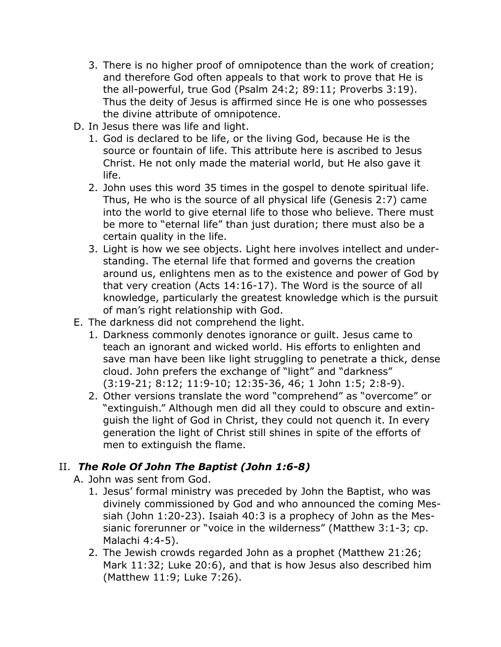- 3. There is no higher proof of omnipotence than the work of creation; and therefore God often appeals to that work to prove that He is the all-powerful, true God (Psalm 24:2; 89:11; Proverbs 3:19). Thus the deity of Jesus is affirmed since He is one who possesses the divine attribute of omnipotence.
- D. In Jesus there was life and light.
	- 1. God is declared to be life, or the living God, because He is the source or fountain of life. This attribute here is ascribed to Jesus Christ. He not only made the material world, but He also gave it life.
	- 2. John uses this word 35 times in the gospel to denote spiritual life. Thus, He who is the source of all physical life (Genesis 2:7) came into the world to give eternal life to those who believe. There must be more to "eternal life" than just duration; there must also be a certain quality in the life.
	- 3. Light is how we see objects. Light here involves intellect and understanding. The eternal life that formed and governs the creation around us, enlightens men as to the existence and power of God by that very creation (Acts 14:16-17). The Word is the source of all knowledge, particularly the greatest knowledge which is the pursuit of man's right relationship with God.
- E. The darkness did not comprehend the light.
	- 1. Darkness commonly denotes ignorance or guilt. Jesus came to teach an ignorant and wicked world. His efforts to enlighten and save man have been like light struggling to penetrate a thick, dense cloud. John prefers the exchange of "light" and "darkness" (3:19-21; 8:12; 11:9-10; 12:35-36, 46; 1 John 1:5; 2:8-9).
	- 2. Other versions translate the word "comprehend" as "overcome" or "extinguish." Although men did all they could to obscure and extinguish the light of God in Christ, they could not quench it. In every generation the light of Christ still shines in spite of the efforts of men to extinguish the flame.

## II. *The Role Of John The Baptist (John 1:6-8)*

A. John was sent from God.

- 1. Jesus' formal ministry was preceded by John the Baptist, who was divinely commissioned by God and who announced the coming Messiah (John 1:20-23). Isaiah 40:3 is a prophecy of John as the Messianic forerunner or "voice in the wilderness" (Matthew 3:1-3; cp. Malachi 4:4-5).
- 2. The Jewish crowds regarded John as a prophet (Matthew 21:26; Mark 11:32; Luke 20:6), and that is how Jesus also described him (Matthew 11:9; Luke 7:26).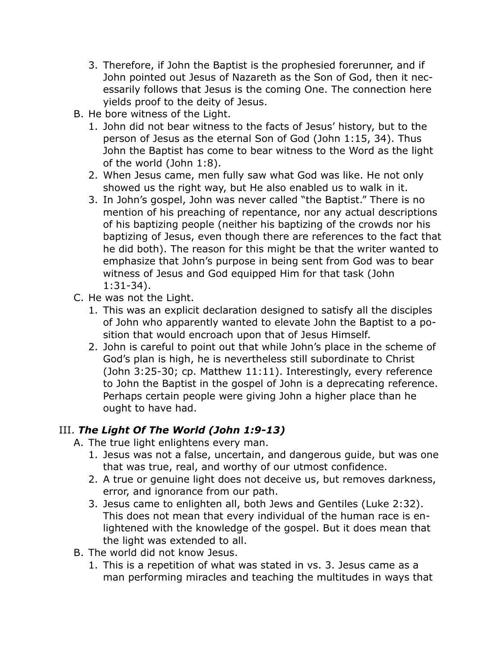- 3. Therefore, if John the Baptist is the prophesied forerunner, and if John pointed out Jesus of Nazareth as the Son of God, then it necessarily follows that Jesus is the coming One. The connection here yields proof to the deity of Jesus.
- B. He bore witness of the Light.
	- 1. John did not bear witness to the facts of Jesus' history, but to the person of Jesus as the eternal Son of God (John 1:15, 34). Thus John the Baptist has come to bear witness to the Word as the light of the world (John 1:8).
	- 2. When Jesus came, men fully saw what God was like. He not only showed us the right way, but He also enabled us to walk in it.
	- 3. In John's gospel, John was never called "the Baptist." There is no mention of his preaching of repentance, nor any actual descriptions of his baptizing people (neither his baptizing of the crowds nor his baptizing of Jesus, even though there are references to the fact that he did both). The reason for this might be that the writer wanted to emphasize that John's purpose in being sent from God was to bear witness of Jesus and God equipped Him for that task (John 1:31-34).
- C. He was not the Light.
	- 1. This was an explicit declaration designed to satisfy all the disciples of John who apparently wanted to elevate John the Baptist to a position that would encroach upon that of Jesus Himself.
	- 2. John is careful to point out that while John's place in the scheme of God's plan is high, he is nevertheless still subordinate to Christ (John 3:25-30; cp. Matthew 11:11). Interestingly, every reference to John the Baptist in the gospel of John is a deprecating reference. Perhaps certain people were giving John a higher place than he ought to have had.

## III. *The Light Of The World (John 1:9-13)*

- A. The true light enlightens every man.
	- 1. Jesus was not a false, uncertain, and dangerous guide, but was one that was true, real, and worthy of our utmost confidence.
	- 2. A true or genuine light does not deceive us, but removes darkness, error, and ignorance from our path.
	- 3. Jesus came to enlighten all, both Jews and Gentiles (Luke 2:32). This does not mean that every individual of the human race is enlightened with the knowledge of the gospel. But it does mean that the light was extended to all.
- B. The world did not know Jesus.
	- 1. This is a repetition of what was stated in vs. 3. Jesus came as a man performing miracles and teaching the multitudes in ways that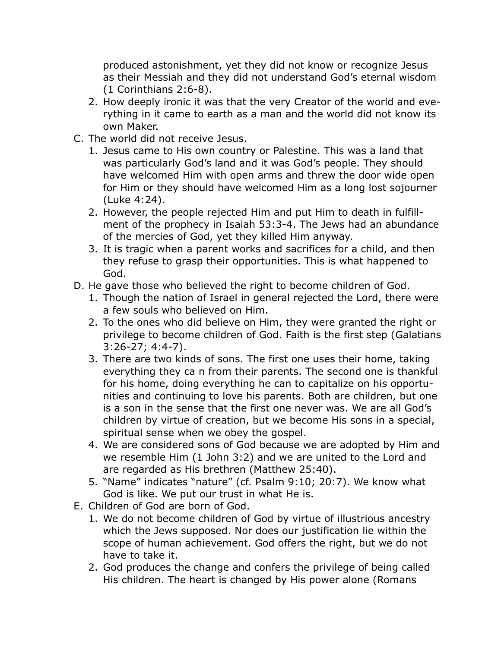produced astonishment, yet they did not know or recognize Jesus as their Messiah and they did not understand God's eternal wisdom (1 Corinthians 2:6-8).

- 2. How deeply ironic it was that the very Creator of the world and everything in it came to earth as a man and the world did not know its own Maker.
- C. The world did not receive Jesus.
	- 1. Jesus came to His own country or Palestine. This was a land that was particularly God's land and it was God's people. They should have welcomed Him with open arms and threw the door wide open for Him or they should have welcomed Him as a long lost sojourner (Luke 4:24).
	- 2. However, the people rejected Him and put Him to death in fulfillment of the prophecy in Isaiah 53:3-4. The Jews had an abundance of the mercies of God, yet they killed Him anyway.
	- 3. It is tragic when a parent works and sacrifices for a child, and then they refuse to grasp their opportunities. This is what happened to God.
- D. He gave those who believed the right to become children of God.
	- 1. Though the nation of Israel in general rejected the Lord, there were a few souls who believed on Him.
	- 2. To the ones who did believe on Him, they were granted the right or privilege to become children of God. Faith is the first step (Galatians 3:26-27; 4:4-7).
	- 3. There are two kinds of sons. The first one uses their home, taking everything they ca n from their parents. The second one is thankful for his home, doing everything he can to capitalize on his opportunities and continuing to love his parents. Both are children, but one is a son in the sense that the first one never was. We are all God's children by virtue of creation, but we become His sons in a special, spiritual sense when we obey the gospel.
	- 4. We are considered sons of God because we are adopted by Him and we resemble Him (1 John 3:2) and we are united to the Lord and are regarded as His brethren (Matthew 25:40).
	- 5. "Name" indicates "nature" (cf. Psalm 9:10; 20:7). We know what God is like. We put our trust in what He is.
- E. Children of God are born of God.
	- 1. We do not become children of God by virtue of illustrious ancestry which the Jews supposed. Nor does our justification lie within the scope of human achievement. God offers the right, but we do not have to take it.
	- 2. God produces the change and confers the privilege of being called His children. The heart is changed by His power alone (Romans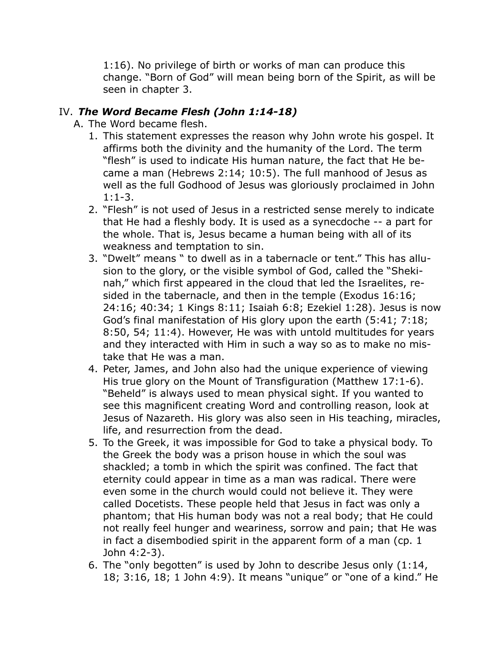1:16). No privilege of birth or works of man can produce this change. "Born of God" will mean being born of the Spirit, as will be seen in chapter 3.

### IV. *The Word Became Flesh (John 1:14-18)*

- A. The Word became flesh.
	- 1. This statement expresses the reason why John wrote his gospel. It affirms both the divinity and the humanity of the Lord. The term "flesh" is used to indicate His human nature, the fact that He became a man (Hebrews 2:14; 10:5). The full manhood of Jesus as well as the full Godhood of Jesus was gloriously proclaimed in John  $1:1-3.$
	- 2. "Flesh" is not used of Jesus in a restricted sense merely to indicate that He had a fleshly body. It is used as a synecdoche -- a part for the whole. That is, Jesus became a human being with all of its weakness and temptation to sin.
	- 3. "Dwelt" means " to dwell as in a tabernacle or tent." This has allusion to the glory, or the visible symbol of God, called the "Shekinah," which first appeared in the cloud that led the Israelites, resided in the tabernacle, and then in the temple (Exodus 16:16; 24:16; 40:34; 1 Kings 8:11; Isaiah 6:8; Ezekiel 1:28). Jesus is now God's final manifestation of His glory upon the earth (5:41; 7:18; 8:50, 54; 11:4). However, He was with untold multitudes for years and they interacted with Him in such a way so as to make no mistake that He was a man.
	- 4. Peter, James, and John also had the unique experience of viewing His true glory on the Mount of Transfiguration (Matthew 17:1-6). "Beheld" is always used to mean physical sight. If you wanted to see this magnificent creating Word and controlling reason, look at Jesus of Nazareth. His glory was also seen in His teaching, miracles, life, and resurrection from the dead.
	- 5. To the Greek, it was impossible for God to take a physical body. To the Greek the body was a prison house in which the soul was shackled; a tomb in which the spirit was confined. The fact that eternity could appear in time as a man was radical. There were even some in the church would could not believe it. They were called Docetists. These people held that Jesus in fact was only a phantom; that His human body was not a real body; that He could not really feel hunger and weariness, sorrow and pain; that He was in fact a disembodied spirit in the apparent form of a man (cp. 1 John 4:2-3).
	- 6. The "only begotten" is used by John to describe Jesus only (1:14, 18; 3:16, 18; 1 John 4:9). It means "unique" or "one of a kind." He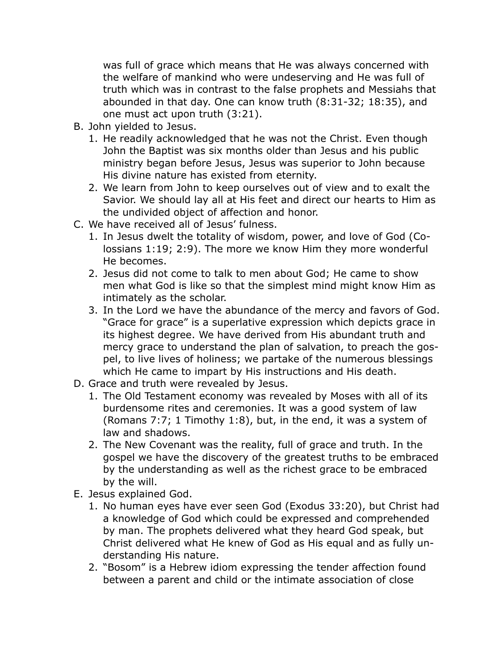was full of grace which means that He was always concerned with the welfare of mankind who were undeserving and He was full of truth which was in contrast to the false prophets and Messiahs that abounded in that day. One can know truth (8:31-32; 18:35), and one must act upon truth (3:21).

- B. John yielded to Jesus.
	- 1. He readily acknowledged that he was not the Christ. Even though John the Baptist was six months older than Jesus and his public ministry began before Jesus, Jesus was superior to John because His divine nature has existed from eternity.
	- 2. We learn from John to keep ourselves out of view and to exalt the Savior. We should lay all at His feet and direct our hearts to Him as the undivided object of affection and honor.
- C. We have received all of Jesus' fulness.
	- 1. In Jesus dwelt the totality of wisdom, power, and love of God (Colossians 1:19; 2:9). The more we know Him they more wonderful He becomes.
	- 2. Jesus did not come to talk to men about God; He came to show men what God is like so that the simplest mind might know Him as intimately as the scholar.
	- 3. In the Lord we have the abundance of the mercy and favors of God. "Grace for grace" is a superlative expression which depicts grace in its highest degree. We have derived from His abundant truth and mercy grace to understand the plan of salvation, to preach the gospel, to live lives of holiness; we partake of the numerous blessings which He came to impart by His instructions and His death.
- D. Grace and truth were revealed by Jesus.
	- 1. The Old Testament economy was revealed by Moses with all of its burdensome rites and ceremonies. It was a good system of law (Romans 7:7; 1 Timothy 1:8), but, in the end, it was a system of law and shadows.
	- 2. The New Covenant was the reality, full of grace and truth. In the gospel we have the discovery of the greatest truths to be embraced by the understanding as well as the richest grace to be embraced by the will.
- E. Jesus explained God.
	- 1. No human eyes have ever seen God (Exodus 33:20), but Christ had a knowledge of God which could be expressed and comprehended by man. The prophets delivered what they heard God speak, but Christ delivered what He knew of God as His equal and as fully understanding His nature.
	- 2. "Bosom" is a Hebrew idiom expressing the tender affection found between a parent and child or the intimate association of close